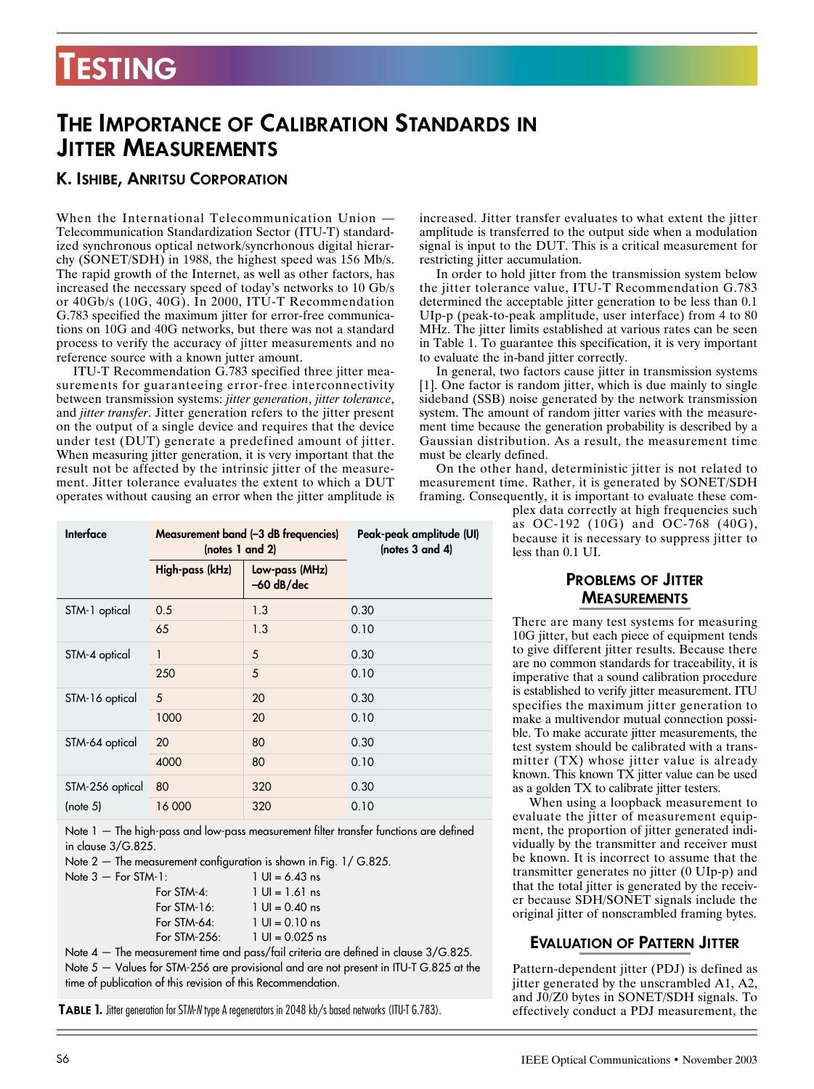# **TESTING**

# **THE IMPORTANCE OF CALIBRATION STANDARDS IN JITTER MEASUREMENTS**

## **K. ISHIBE, ANRITSU CORPORATION**

When the International Telecommunication Union — Telecommunication Standardization Sector (ITU-T) standardized synchronous optical network/syncrhonous digital hierarchy (SONET/SDH) in 1988, the highest speed was 156 Mb/s. The rapid growth of the Internet, as well as other factors, has increased the necessary speed of today's networks to 10 Gb/s or 40Gb/s (10G, 40G). In 2000, ITU-T Recommendation G.783 specified the maximum jitter for error-free communications on 10G and 40G networks, but there was not a standard process to verify the accuracy of jitter measurements and no reference source with a known jutter amount.

ITU-T Recommendation G.783 specified three jitter measurements for guaranteeing error-free interconnectivity between transmission systems: *jitter generation*, *jitter tolerance*, and *jitter transfer*. Jitter generation refers to the jitter present on the output of a single device and requires that the device under test (DUT) generate a predefined amount of jitter. When measuring jitter generation, it is very important that the result not be affected by the intrinsic jitter of the measurement. Jitter tolerance evaluates the extent to which a DUT operates without causing an error when the jitter amplitude is increased. Jitter transfer evaluates to what extent the jitter amplitude is transferred to the output side when a modulation signal is input to the DUT. This is a critical measurement for restricting jitter accumulation.

In order to hold jitter from the transmission system below the jitter tolerance value, ITU-T Recommendation G.783 determined the acceptable jitter generation to be less than 0.1 UIp-p (peak-to-peak amplitude, user interface) from 4 to 80 MHz. The jitter limits established at various rates can be seen in Table 1. To guarantee this specification, it is very important to evaluate the in-band jitter correctly.

In general, two factors cause jitter in transmission systems [1]. One factor is random jitter, which is due mainly to single sideband (SSB) noise generated by the network transmission system. The amount of random jitter varies with the measurement time because the generation probability is described by a Gaussian distribution. As a result, the measurement time must be clearly defined.

On the other hand, deterministic jitter is not related to measurement time. Rather, it is generated by SONET/SDH framing. Consequently, it is important to evaluate these com-

> plex data correctly at high frequencies such as OC-192 (10G) and OC-768 (40G), because it is necessary to suppress jitter to less than 0.1 UI.

## **PROBLEMS OF JITTER MEASUREMENTS**

There are many test systems for measuring 10G jitter, but each piece of equipment tends to give different jitter results. Because there are no common standards for traceability, it is imperative that a sound calibration procedure is established to verify jitter measurement. ITU specifies the maximum jitter generation to make a multivendor mutual connection possible. To make accurate jitter measurements, the test system should be calibrated with a transmitter (TX) whose jitter value is already known. This known TX jitter value can be used as a golden TX to calibrate jitter testers.

When using a loopback measurement to evaluate the jitter of measurement equipment, the proportion of jitter generated individually by the transmitter and receiver must be known. It is incorrect to assume that the transmitter generates no jitter (0 UIp-p) and that the total jitter is generated by the receiver because SDH/SONET signals include the original jitter of nonscrambled framing bytes.

## **EVALUATION OF PATTERN JITTER**

Pattern-dependent jitter (PDJ) is defined as jitter generated by the unscrambled A1, A2, and J0/Z0 bytes in SONET/SDH signals. To effectively conduct a PDJ measurement, the

| Interface                   | Measurement band (-3 dB frequencies)<br>(notes 1 and 2) |                                | Peak-peak amplitude (UI)<br>(notes $3$ and $4$ ) |
|-----------------------------|---------------------------------------------------------|--------------------------------|--------------------------------------------------|
|                             | High-pass (kHz)                                         | Low-pass (MHz)<br>$-60$ dB/dec |                                                  |
| STM-1 optical               | 0.5                                                     | 1.3                            | 0.30                                             |
|                             | 65                                                      | 1.3                            | 0.10                                             |
| STM-4 optical               | 1                                                       | 5                              | 0.30                                             |
|                             | 250                                                     | 5                              | 0.10                                             |
| STM-16 optical              | 5                                                       | 20                             | 0.30                                             |
|                             | 1000                                                    | 20                             | 0.10                                             |
| STM-64 optical              | 20                                                      | 80                             | 0.30                                             |
|                             | 4000                                                    | 80                             | 0.10                                             |
| STM-256 optical<br>(note 5) | 80                                                      | 320                            | 0.30                                             |
|                             | 16 000                                                  | 320                            | 0.10                                             |

Note 1 — The high-pass and low-pass measurement filter transfer functions are defined in clause 3/G.825.

Note 2 — The measurement configuration is shown in Fig. 1/ G.825.

| $1 \text{ Ul} = 6.43 \text{ ns}$  |
|-----------------------------------|
| $1 \text{ Ul} = 1.61 \text{ ns}$  |
| $1 \text{ Ul} = 0.40 \text{ ns}$  |
| $1 \text{ Ul} = 0.10 \text{ ns}$  |
| $1 \text{ UI} = 0.025 \text{ ns}$ |
|                                   |

Note 4 — The measurement time and pass/fail criteria are defined in clause 3/G.825. Note 5 — Values for STM-256 are provisional and are not present in ITU-T G.825 at the time of publication of this revision of this Recommendation.

**TABLE 1.** Jitter generation for STM-*N* type A regenerators in 2048 kb/s based networks (ITU-T G.783).

Note  $3 -$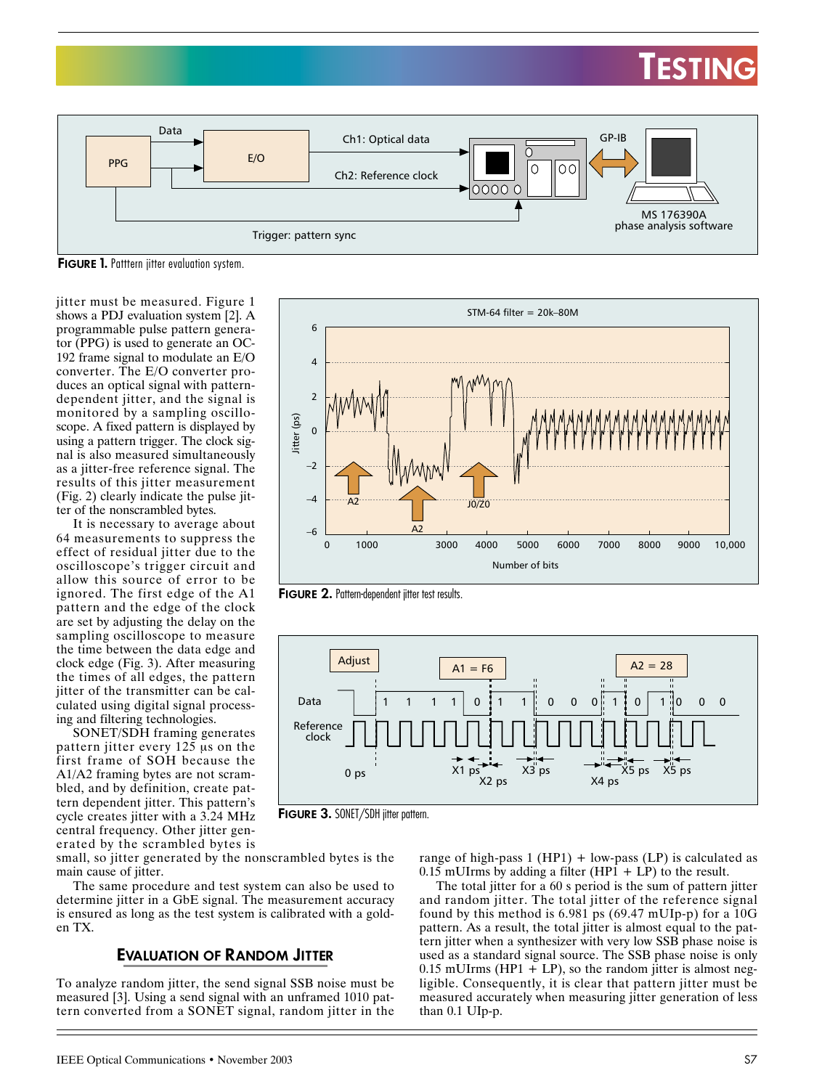# **TESTING**



**FIGURE 1.** Patttern jitter evaluation system.

jitter must be measured. Figure 1 shows a PDJ evaluation system [2]. A programmable pulse pattern generator (PPG) is used to generate an OC-192 frame signal to modulate an E/O converter. The E/O converter produces an optical signal with patterndependent jitter, and the signal is monitored by a sampling oscilloscope. A fixed pattern is displayed by using a pattern trigger. The clock signal is also measured simultaneously as a jitter-free reference signal. The results of this jitter measurement (Fig. 2) clearly indicate the pulse jitter of the nonscrambled bytes.

It is necessary to average about 64 measurements to suppress the effect of residual jitter due to the oscilloscope's trigger circuit and allow this source of error to be ignored. The first edge of the A1 pattern and the edge of the clock are set by adjusting the delay on the sampling oscilloscope to measure the time between the data edge and clock edge (Fig. 3). After measuring the times of all edges, the pattern jitter of the transmitter can be calculated using digital signal processing and filtering technologies.

SONET/SDH framing generates pattern jitter every 125 µs on the first frame of SOH because the A1/A2 framing bytes are not scrambled, and by definition, create pattern dependent jitter. This pattern's cycle creates jitter with a 3.24 MHz central frequency. Other jitter generated by the scrambled bytes is



**FIGURE 2.** Pattern-dependent jitter test results.



**FIGURE 3.** SONET/SDH jitter pattern.

small, so jitter generated by the nonscrambled bytes is the main cause of jitter.

The same procedure and test system can also be used to determine jitter in a GbE signal. The measurement accuracy is ensured as long as the test system is calibrated with a golden TX.

### **EVALUATION OF RANDOM JITTER**

To analyze random jitter, the send signal SSB noise must be measured [3]. Using a send signal with an unframed 1010 pattern converted from a SONET signal, random jitter in the

range of high-pass  $1 (HP1) + low-pass (LP)$  is calculated as  $0.15$  mUIrms by adding a filter (HP1 + LP) to the result.

The total jitter for a 60 s period is the sum of pattern jitter and random jitter. The total jitter of the reference signal found by this method is 6.981 ps (69.47 mUIp-p) for a 10G pattern. As a result, the total jitter is almost equal to the pattern jitter when a synthesizer with very low SSB phase noise is used as a standard signal source. The SSB phase noise is only 0.15 mUIrms (HP1 + LP), so the random jitter is almost negligible. Consequently, it is clear that pattern jitter must be measured accurately when measuring jitter generation of less than 0.1 UIp-p.